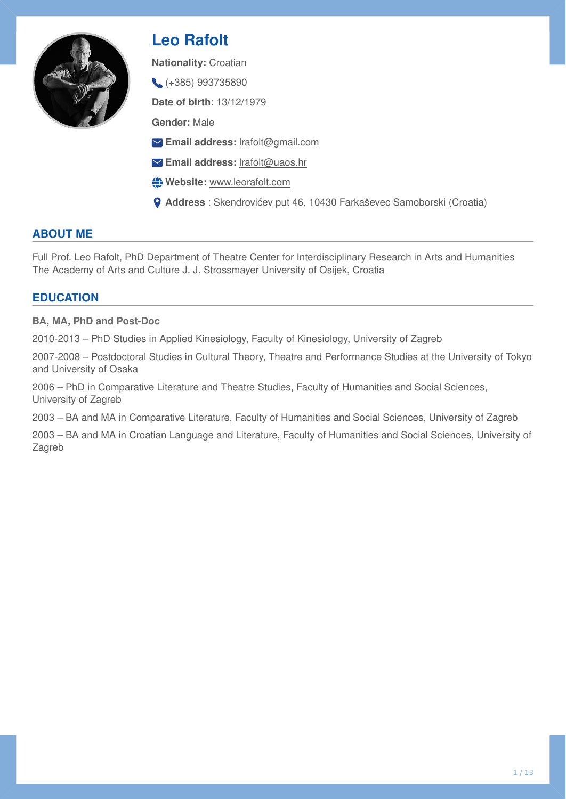

# **Leo Rafolt**

**Nationality:** Croatian

(+385) 993735890

**Date of birth**: 13/12/1979

**Gender:** Male

- **Email address:** [lrafolt@gmail.com](mailto:lrafolt@gmail.com)
- **Email address:** [lrafolt@uaos.hr](mailto:lrafolt@uaos.hr)
- **Website:** [www.leorafolt.com](http://www.leorafolt.com)
- **Address** : Skendrovićev put 46, 10430 Farkaševec Samoborski (Croatia)

## **ABOUT ME**

Full Prof. Leo Rafolt, PhD Department of Theatre Center for Interdisciplinary Research in Arts and Humanities The Academy of Arts and Culture J. J. Strossmayer University of Osijek, Croatia

## **EDUCATION**

**BA, MA, PhD and Post-Doc** 

2010-2013 – PhD Studies in Applied Kinesiology, Faculty of Kinesiology, University of Zagreb

2007-2008 – Postdoctoral Studies in Cultural Theory, Theatre and Performance Studies at the University of Tokyo and University of Osaka

2006 – PhD in Comparative Literature and Theatre Studies, Faculty of Humanities and Social Sciences, University of Zagreb

2003 – BA and MA in Comparative Literature, Faculty of Humanities and Social Sciences, University of Zagreb

2003 – BA and MA in Croatian Language and Literature, Faculty of Humanities and Social Sciences, University of Zagreb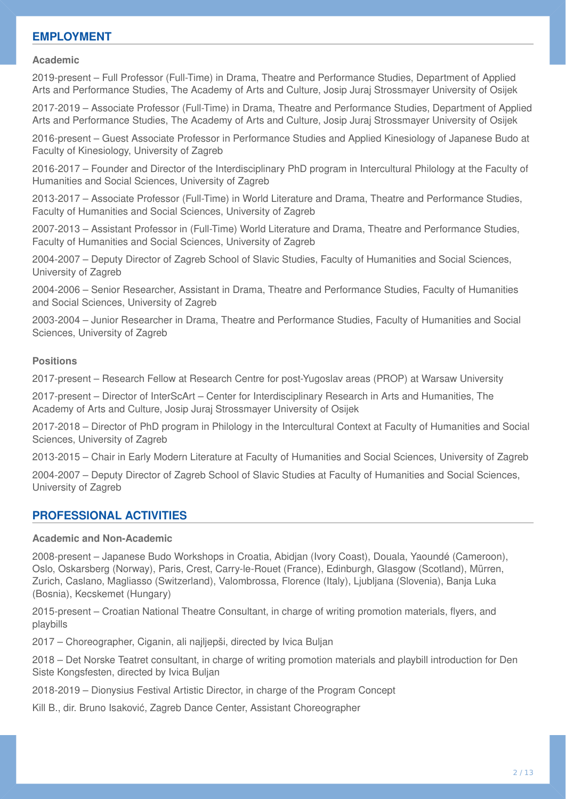### **EMPLOYMENT**

#### **Academic**

2019-present – Full Professor (Full-Time) in Drama, Theatre and Performance Studies, Department of Applied Arts and Performance Studies, The Academy of Arts and Culture, Josip Juraj Strossmayer University of Osijek

2017-2019 – Associate Professor (Full-Time) in Drama, Theatre and Performance Studies, Department of Applied Arts and Performance Studies, The Academy of Arts and Culture, Josip Juraj Strossmayer University of Osijek

2016-present – Guest Associate Professor in Performance Studies and Applied Kinesiology of Japanese Budo at Faculty of Kinesiology, University of Zagreb

2016-2017 – Founder and Director of the Interdisciplinary PhD program in Intercultural Philology at the Faculty of Humanities and Social Sciences, University of Zagreb

2013-2017 – Associate Professor (Full-Time) in World Literature and Drama, Theatre and Performance Studies, Faculty of Humanities and Social Sciences, University of Zagreb

2007-2013 – Assistant Professor in (Full-Time) World Literature and Drama, Theatre and Performance Studies, Faculty of Humanities and Social Sciences, University of Zagreb

2004-2007 – Deputy Director of Zagreb School of Slavic Studies, Faculty of Humanities and Social Sciences, University of Zagreb

2004-2006 – Senior Researcher, Assistant in Drama, Theatre and Performance Studies, Faculty of Humanities and Social Sciences, University of Zagreb

2003-2004 – Junior Researcher in Drama, Theatre and Performance Studies, Faculty of Humanities and Social Sciences, University of Zagreb

#### **Positions**

2017-present – Research Fellow at Research Centre for post-Yugoslav areas (PROP) at Warsaw University

2017-present – Director of InterScArt – Center for Interdisciplinary Research in Arts and Humanities, The Academy of Arts and Culture, Josip Juraj Strossmayer University of Osijek

2017-2018 – Director of PhD program in Philology in the Intercultural Context at Faculty of Humanities and Social Sciences, University of Zagreb

2013-2015 – Chair in Early Modern Literature at Faculty of Humanities and Social Sciences, University of Zagreb

2004-2007 – Deputy Director of Zagreb School of Slavic Studies at Faculty of Humanities and Social Sciences, University of Zagreb

### **PROFESSIONAL ACTIVITIES**

#### **Academic and Non-Academic**

2008-present – Japanese Budo Workshops in Croatia, Abidjan (Ivory Coast), Douala, Yaoundé (Cameroon), Oslo, Oskarsberg (Norway), Paris, Crest, Carry-le-Rouet (France), Edinburgh, Glasgow (Scotland), Mürren, Zurich, Caslano, Magliasso (Switzerland), Valombrossa, Florence (Italy), Ljubljana (Slovenia), Banja Luka (Bosnia), Kecskemet (Hungary)

2015-present – Croatian National Theatre Consultant, in charge of writing promotion materials, flyers, and playbills

2017 – Choreographer, Ciganin, ali najljepši, directed by Ivica Buljan

2018 – Det Norske Teatret consultant, in charge of writing promotion materials and playbill introduction for Den Siste Kongsfesten, directed by Ivica Buljan

2018-2019 – Dionysius Festival Artistic Director, in charge of the Program Concept

Kill B., dir. Bruno Isaković, Zagreb Dance Center, Assistant Choreographer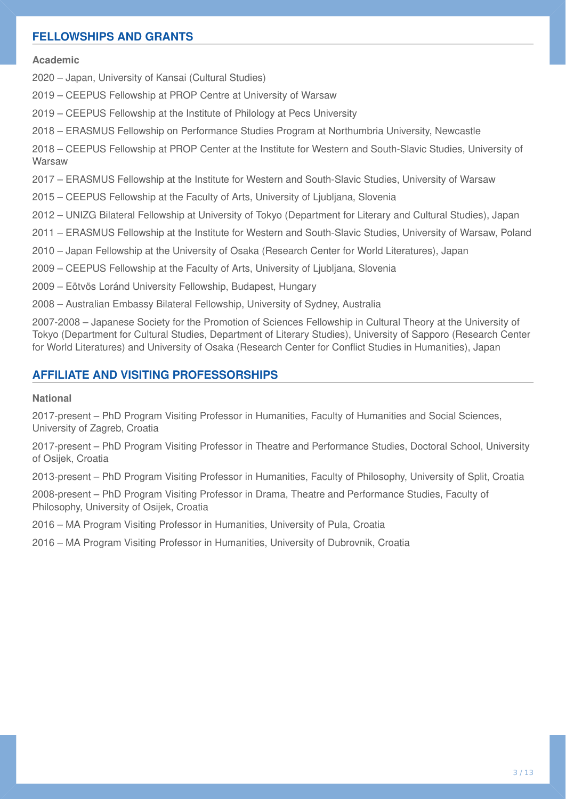## **FELLOWSHIPS AND GRANTS**

#### **Academic**

2020 – Japan, University of Kansai (Cultural Studies)

2019 – CEEPUS Fellowship at PROP Centre at University of Warsaw

2019 – CEEPUS Fellowship at the Institute of Philology at Pecs University

2018 – ERASMUS Fellowship on Performance Studies Program at Northumbria University, Newcastle

2018 – CEEPUS Fellowship at PROP Center at the Institute for Western and South-Slavic Studies, University of **Warsaw** 

2017 – ERASMUS Fellowship at the Institute for Western and South-Slavic Studies, University of Warsaw

2015 – CEEPUS Fellowship at the Faculty of Arts, University of Ljubljana, Slovenia

2012 – UNIZG Bilateral Fellowship at University of Tokyo (Department for Literary and Cultural Studies), Japan

2011 – ERASMUS Fellowship at the Institute for Western and South-Slavic Studies, University of Warsaw, Poland

2010 – Japan Fellowship at the University of Osaka (Research Center for World Literatures), Japan

2009 – CEEPUS Fellowship at the Faculty of Arts, University of Ljubljana, Slovenia

2009 – Eötvös Loránd University Fellowship, Budapest, Hungary

2008 – Australian Embassy Bilateral Fellowship, University of Sydney, Australia

2007-2008 – Japanese Society for the Promotion of Sciences Fellowship in Cultural Theory at the University of Tokyo (Department for Cultural Studies, Department of Literary Studies), University of Sapporo (Research Center for World Literatures) and University of Osaka (Research Center for Conflict Studies in Humanities), Japan

### **AFFILIATE AND VISITING PROFESSORSHIPS**

#### **National**

2017-present – PhD Program Visiting Professor in Humanities, Faculty of Humanities and Social Sciences, University of Zagreb, Croatia

2017-present – PhD Program Visiting Professor in Theatre and Performance Studies, Doctoral School, University of Osijek, Croatia

2013-present – PhD Program Visiting Professor in Humanities, Faculty of Philosophy, University of Split, Croatia

2008-present – PhD Program Visiting Professor in Drama, Theatre and Performance Studies, Faculty of Philosophy, University of Osijek, Croatia

2016 – MA Program Visiting Professor in Humanities, University of Pula, Croatia

2016 – MA Program Visiting Professor in Humanities, University of Dubrovnik, Croatia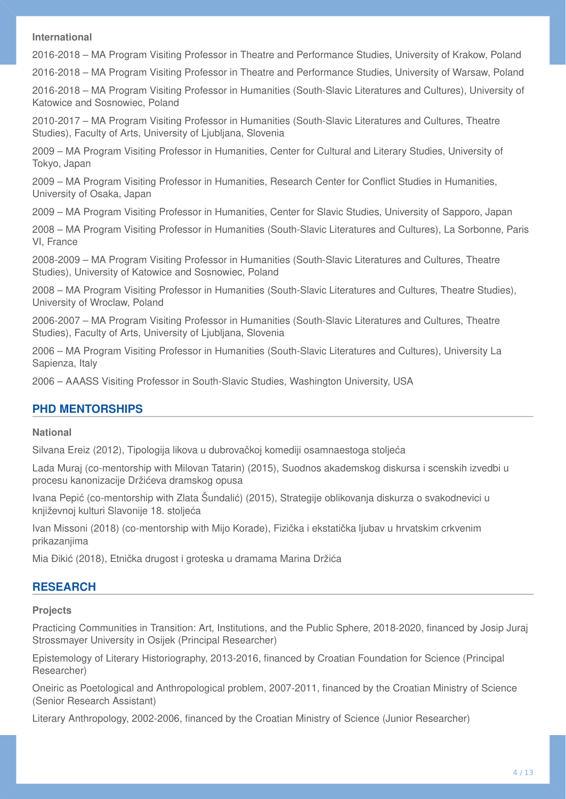#### **International**

2016-2018 – MA Program Visiting Professor in Theatre and Performance Studies, University of Krakow, Poland

2016-2018 – MA Program Visiting Professor in Theatre and Performance Studies, University of Warsaw, Poland

2016-2018 – MA Program Visiting Professor in Humanities (South-Slavic Literatures and Cultures), University of Katowice and Sosnowiec, Poland

2010-2017 – MA Program Visiting Professor in Humanities (South-Slavic Literatures and Cultures, Theatre Studies), Faculty of Arts, University of Ljubljana, Slovenia

2009 – MA Program Visiting Professor in Humanities, Center for Cultural and Literary Studies, University of Tokyo, Japan

2009 – MA Program Visiting Professor in Humanities, Research Center for Conflict Studies in Humanities, University of Osaka, Japan

2009 – MA Program Visiting Professor in Humanities, Center for Slavic Studies, University of Sapporo, Japan

2008 – MA Program Visiting Professor in Humanities (South-Slavic Literatures and Cultures), La Sorbonne, Paris VI, France

2008-2009 – MA Program Visiting Professor in Humanities (South-Slavic Literatures and Cultures, Theatre Studies), University of Katowice and Sosnowiec, Poland

2008 – MA Program Visiting Professor in Humanities (South-Slavic Literatures and Cultures, Theatre Studies), University of Wroclaw, Poland

2006-2007 – MA Program Visiting Professor in Humanities (South-Slavic Literatures and Cultures, Theatre Studies), Faculty of Arts, University of Ljubljana, Slovenia

2006 – MA Program Visiting Professor in Humanities (South-Slavic Literatures and Cultures), University La Sapienza, Italy

2006 – AAASS Visiting Professor in South-Slavic Studies, Washington University, USA

### **PHD MENTORSHIPS**

#### **National**

Silvana Ereiz (2012), Tipologija likova u dubrovačkoj komediji osamnaestoga stoljeća

Lada Muraj (co-mentorship with Milovan Tatarin) (2015), Suodnos akademskog diskursa i scenskih izvedbi u procesu kanonizacije Držićeva dramskog opusa

Ivana Pepić (co-mentorship with Zlata Šundalić) (2015), Strategije oblikovanja diskurza o svakodnevici u književnoj kulturi Slavonije 18. stoljeća

Ivan Missoni (2018) (co-mentorship with Mijo Korade), Fizička i ekstatička ljubav u hrvatskim crkvenim prikazanjima

Mia Đikić (2018), Etnička drugost i groteska u dramama Marina Držića

### **RESEARCH**

#### **Projects**

Practicing Communities in Transition: Art, Institutions, and the Public Sphere, 2018-2020, financed by Josip Juraj Strossmayer University in Osijek (Principal Researcher)

Epistemology of Literary Historiography, 2013-2016, financed by Croatian Foundation for Science (Principal Researcher)

Oneiric as Poetological and Anthropological problem, 2007-2011, financed by the Croatian Ministry of Science (Senior Research Assistant)

Literary Anthropology, 2002-2006, financed by the Croatian Ministry of Science (Junior Researcher)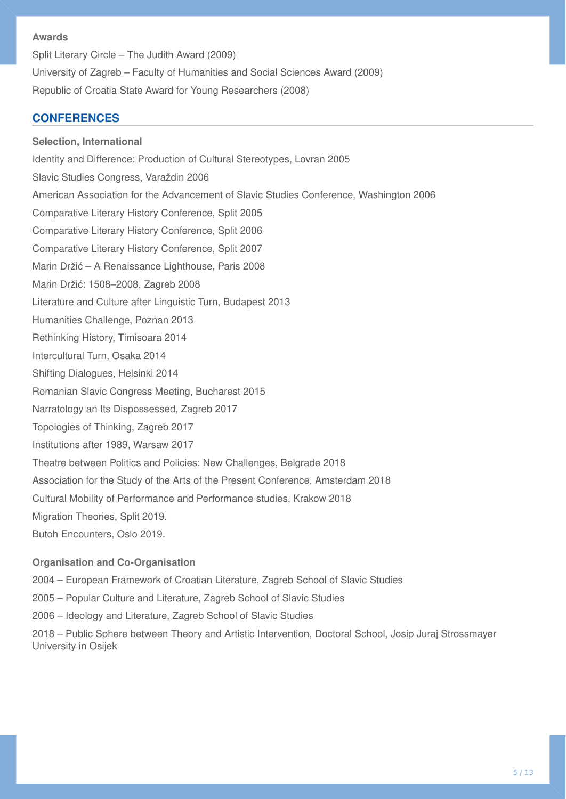#### **Awards**

Split Literary Circle – The Judith Award (2009) University of Zagreb – Faculty of Humanities and Social Sciences Award (2009) Republic of Croatia State Award for Young Researchers (2008)

## **CONFERENCES**

**Selection, International**  Identity and Difference: Production of Cultural Stereotypes, Lovran 2005 Slavic Studies Congress, Varaždin 2006 American Association for the Advancement of Slavic Studies Conference, Washington 2006 Comparative Literary History Conference, Split 2005 Comparative Literary History Conference, Split 2006 Comparative Literary History Conference, Split 2007 Marin Držić – A Renaissance Lighthouse, Paris 2008 Marin Držić: 1508–2008, Zagreb 2008 Literature and Culture after Linguistic Turn, Budapest 2013 Humanities Challenge, Poznan 2013 Rethinking History, Timisoara 2014 Intercultural Turn, Osaka 2014 Shifting Dialogues, Helsinki 2014 Romanian Slavic Congress Meeting, Bucharest 2015 Narratology an Its Dispossessed, Zagreb 2017 Topologies of Thinking, Zagreb 2017 Institutions after 1989, Warsaw 2017 Theatre between Politics and Policies: New Challenges, Belgrade 2018 Association for the Study of the Arts of the Present Conference, Amsterdam 2018 Cultural Mobility of Performance and Performance studies, Krakow 2018 Migration Theories, Split 2019.

Butoh Encounters, Oslo 2019.

### **Organisation and Co-Organisation**

2004 – European Framework of Croatian Literature, Zagreb School of Slavic Studies

2005 – Popular Culture and Literature, Zagreb School of Slavic Studies

2006 – Ideology and Literature, Zagreb School of Slavic Studies

2018 – Public Sphere between Theory and Artistic Intervention, Doctoral School, Josip Juraj Strossmayer University in Osijek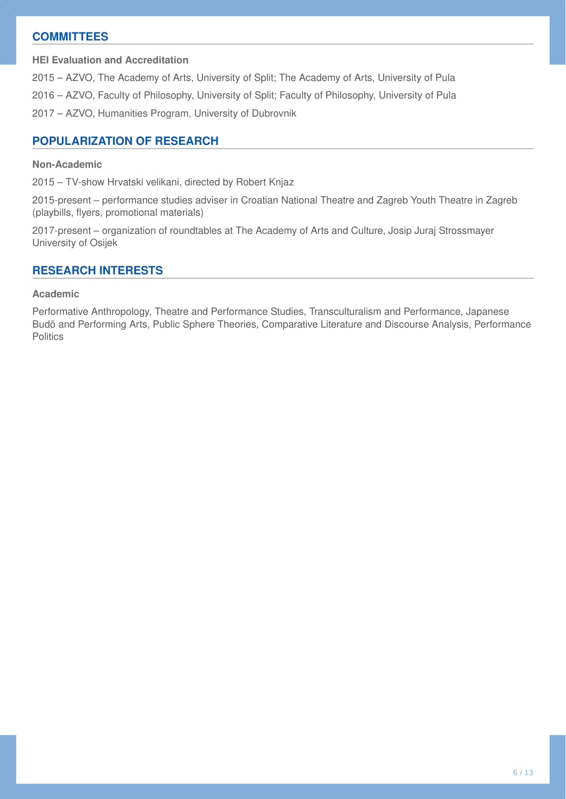## **COMMITTEES**

**HEI Evaluation and Accreditation** 

2015 – AZVO, The Academy of Arts, University of Split; The Academy of Arts, University of Pula 2016 – AZVO, Faculty of Philosophy, University of Split; Faculty of Philosophy, University of Pula 2017 – AZVO, Humanities Program, University of Dubrovnik

## **POPULARIZATION OF RESEARCH**

#### **Non-Academic**

2015 – TV-show Hrvatski velikani, directed by Robert Knjaz

2015-present – performance studies adviser in Croatian National Theatre and Zagreb Youth Theatre in Zagreb (playbills, flyers, promotional materials)

2017-present – organization of roundtables at The Academy of Arts and Culture, Josip Juraj Strossmayer University of Osijek

#### **RESEARCH INTERESTS**

#### **Academic**

Performative Anthropology, Theatre and Performance Studies, Transculturalism and Performance, Japanese Budō and Performing Arts, Public Sphere Theories, Comparative Literature and Discourse Analysis, Performance **Politics**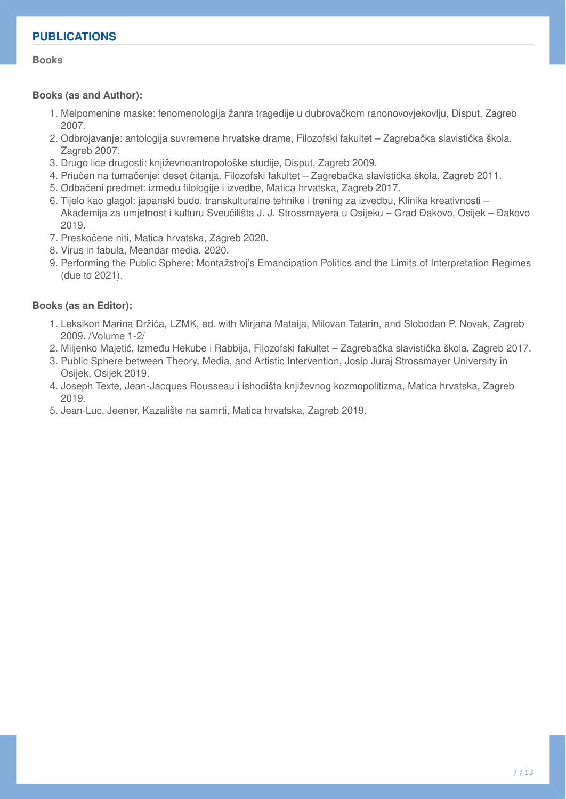#### **Books**

#### **Books (as and Author):**

- Melpomenine maske: fenomenologija žanra tragedije u dubrovačkom ranonovovjekovlju, Disput, Zagreb 1. 2007.
- 2. Odbrojavanje: antologija suvremene hrvatske drame, Filozofski fakultet Zagrebačka slavistička škola, Zagreb 2007.
- 3. Drugo lice drugosti: književnoantropološke studije, Disput, Zagreb 2009.
- Priučen na tumačenje: deset čitanja, Filozofski fakultet Zagrebačka slavistička škola, Zagreb 2011. 4.
- 5. Odbačeni predmet: između filologije i izvedbe, Matica hrvatska, Zagreb 2017.
- 6. Tijelo kao glagol: japanski budo, transkulturalne tehnike i trening za izvedbu, Klinika kreativnosti Akademija za umjetnost i kulturu Sveučilišta J. J. Strossmayera u Osijeku – Grad Đakovo, Osijek – Đakovo 2019.
- 7. Preskočene niti, Matica hrvatska, Zagreb 2020.
- 8. Virus in fabula, Meandar media, 2020.
- Performing the Public Sphere: Montažstroj's Emancipation Politics and the Limits of Interpretation Regimes 9. (due to 2021).

### **Books (as an Editor):**

- 1. Leksikon Marina Držića, LZMK, ed. with Mirjana Mataija, Milovan Tatarin, and Slobodan P. Novak, Zagreb 2009. /Volume 1-2/
- 2. Miljenko Majetić, Između Hekube i Rabbija, Filozofski fakultet Zagrebačka slavistička škola, Zagreb 2017.
- 3. Public Sphere between Theory, Media, and Artistic Intervention, Josip Juraj Strossmayer University in Osijek, Osijek 2019.
- 4. Joseph Texte, Jean-Jacques Rousseau i ishodišta književnog kozmopolitizma, Matica hrvatska, Zagreb 2019.
- 5. Jean-Luc, Jeener, Kazalište na samrti, Matica hrvatska, Zagreb 2019.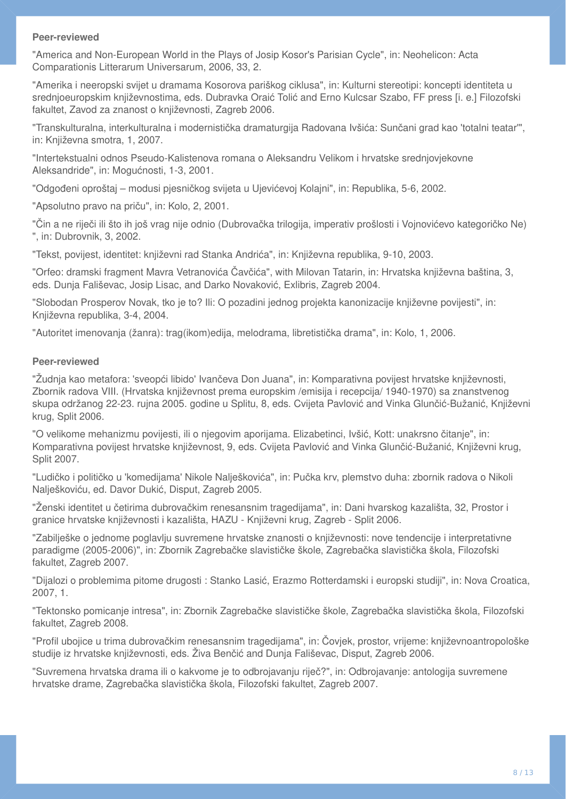"America and Non-European World in the Plays of Josip Kosor's Parisian Cycle", in: Neohelicon: Acta Comparationis Litterarum Universarum, 2006, 33, 2.

"Amerika i neeropski svijet u dramama Kosorova pariškog ciklusa", in: Kulturni stereotipi: koncepti identiteta u srednjoeuropskim književnostima, eds. Dubravka Oraić Tolić and Erno Kulcsar Szabo, FF press [i. e.] Filozofski fakultet, Zavod za znanost o književnosti, Zagreb 2006.

"Transkulturalna, interkulturalna i modernistička dramaturgija Radovana Ivšića: Sunčani grad kao 'totalni teatar'", in: Književna smotra, 1, 2007.

"Intertekstualni odnos Pseudo-Kalistenova romana o Aleksandru Velikom i hrvatske srednjovjekovne Aleksandride", in: Mogućnosti, 1-3, 2001.

"Odgođeni oproštaj – modusi pjesničkog svijeta u Ujevićevoj Kolajni", in: Republika, 5-6, 2002.

"Apsolutno pravo na priču", in: Kolo, 2, 2001.

"Čin a ne riječi ili što ih još vrag nije odnio (Dubrovačka trilogija, imperativ prošlosti i Vojnovićevo kategoričko Ne) ", in: Dubrovnik, 3, 2002.

"Tekst, povijest, identitet: književni rad Stanka Andrića", in: Književna republika, 9-10, 2003.

"Orfeo: dramski fragment Mavra Vetranovića Čavčića", with Milovan Tatarin, in: Hrvatska književna baština, 3, eds. Dunja Fališevac, Josip Lisac, and Darko Novaković, Exlibris, Zagreb 2004.

"Slobodan Prosperov Novak, tko je to? Ili: O pozadini jednog projekta kanonizacije književne povijesti", in: Književna republika, 3-4, 2004.

"Autoritet imenovanja (žanra): trag(ikom)edija, melodrama, libretistička drama", in: Kolo, 1, 2006.

#### **Peer-reviewed**

"Žudnja kao metafora: 'sveopći libido' Ivančeva Don Juana", in: Komparativna povijest hrvatske književnosti, Zbornik radova VIII. (Hrvatska književnost prema europskim /emisija i recepcija/ 1940-1970) sa znanstvenog skupa održanog 22-23. rujna 2005. godine u Splitu, 8, eds. Cvijeta Pavlović and Vinka Glunčić-Bužanić, Književni krug, Split 2006.

"O velikome mehanizmu povijesti, ili o njegovim aporijama. Elizabetinci, Ivšić, Kott: unakrsno čitanje", in: Komparativna povijest hrvatske književnost, 9, eds. Cvijeta Pavlović and Vinka Glunčić-Bužanić, Književni krug, Split 2007.

"Ludičko i političko u 'komedijama' Nikole Nalješkovića", in: Pučka krv, plemstvo duha: zbornik radova o Nikoli Nalješkoviću, ed. Davor Dukić, Disput, Zagreb 2005.

"Ženski identitet u četirima dubrovačkim renesansnim tragedijama", in: Dani hvarskog kazališta, 32, Prostor i granice hrvatske književnosti i kazališta, HAZU - Književni krug, Zagreb - Split 2006.

"Zabilješke o jednome poglavlju suvremene hrvatske znanosti o književnosti: nove tendencije i interpretativne paradigme (2005-2006)", in: Zbornik Zagrebačke slavističke škole, Zagrebačka slavistička škola, Filozofski fakultet, Zagreb 2007.

"Dijalozi o problemima pitome drugosti : Stanko Lasić, Erazmo Rotterdamski i europski studiji", in: Nova Croatica, 2007, 1.

"Tektonsko pomicanje intresa", in: Zbornik Zagrebačke slavističke škole, Zagrebačka slavistička škola, Filozofski fakultet, Zagreb 2008.

"Profil ubojice u trima dubrovačkim renesansnim tragedijama", in: Čovjek, prostor, vrijeme: književnoantropološke studije iz hrvatske književnosti, eds. Živa Benčić and Dunja Fališevac, Disput, Zagreb 2006.

"Suvremena hrvatska drama ili o kakvome je to odbrojavanju riječ?", in: Odbrojavanje: antologija suvremene hrvatske drame, Zagrebačka slavistička škola, Filozofski fakultet, Zagreb 2007.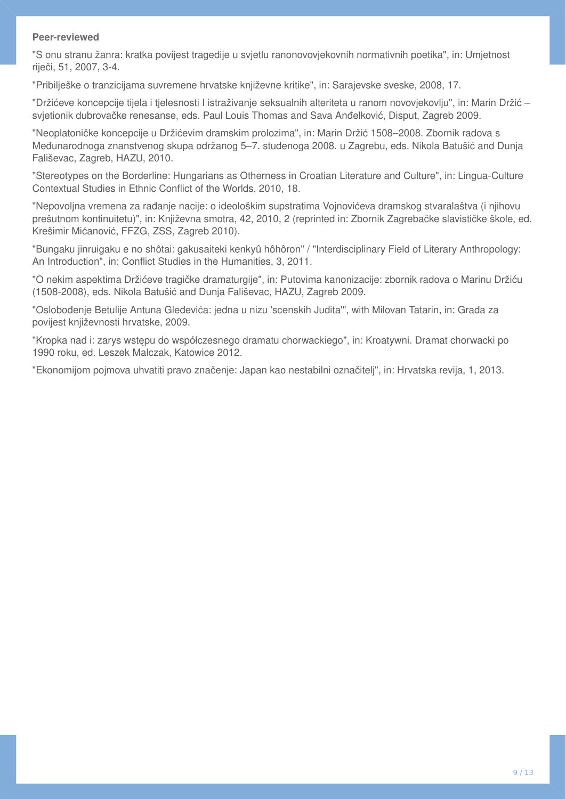"S onu stranu žanra: kratka povijest tragedije u svjetlu ranonovovjekovnih normativnih poetika", in: Umjetnost riječi, 51, 2007, 3-4.

"Pribilješke o tranzicijama suvremene hrvatske književne kritike", in: Sarajevske sveske, 2008, 17.

"Držićeve koncepcije tijela i tjelesnosti I istraživanje seksualnih alteriteta u ranom novovjekovlju", in: Marin Držić – svjetionik dubrovačke renesanse, eds. Paul Louis Thomas and Sava Anđelković, Disput, Zagreb 2009.

"Neoplatoničke koncepcije u Držićevim dramskim prolozima", in: Marin Držić 1508–2008. Zbornik radova s Međunarodnoga znanstvenog skupa održanog 5–7. studenoga 2008. u Zagrebu, eds. Nikola Batušić and Dunja Fališevac, Zagreb, HAZU, 2010.

"Stereotypes on the Borderline: Hungarians as Otherness in Croatian Literature and Culture", in: Lingua-Culture Contextual Studies in Ethnic Conflict of the Worlds, 2010, 18.

"Nepovoljna vremena za rađanje nacije: o ideološkim supstratima Vojnovićeva dramskog stvaralaštva (i njihovu prešutnom kontinuitetu)", in: Književna smotra, 42, 2010, 2 (reprinted in: Zbornik Zagrebačke slavističke škole, ed. Krešimir Mićanović, FFZG, ZSS, Zagreb 2010).

"Bungaku jinruigaku e no shôtai: gakusaiteki kenkyû hôhôron" / "Interdisciplinary Field of Literary Anthropology: An Introduction", in: Conflict Studies in the Humanities, 3, 2011.

"O nekim aspektima Držićeve tragičke dramaturgije", in: Putovima kanonizacije: zbornik radova o Marinu Držiću (1508-2008), eds. Nikola Batušić and Dunja Fališevac, HAZU, Zagreb 2009.

"Oslobođenje Betulije Antuna Gleđevića: jedna u nizu 'scenskih Judita'", with Milovan Tatarin, in: Građa za povijest književnosti hrvatske, 2009.

"Kropka nad i: zarys wstępu do współczesnego dramatu chorwackiego", in: Kroatywni. Dramat chorwacki po 1990 roku, ed. Leszek Malczak, Katowice 2012.

"Ekonomijom pojmova uhvatiti pravo značenje: Japan kao nestabilni označitelj", in: Hrvatska revija, 1, 2013.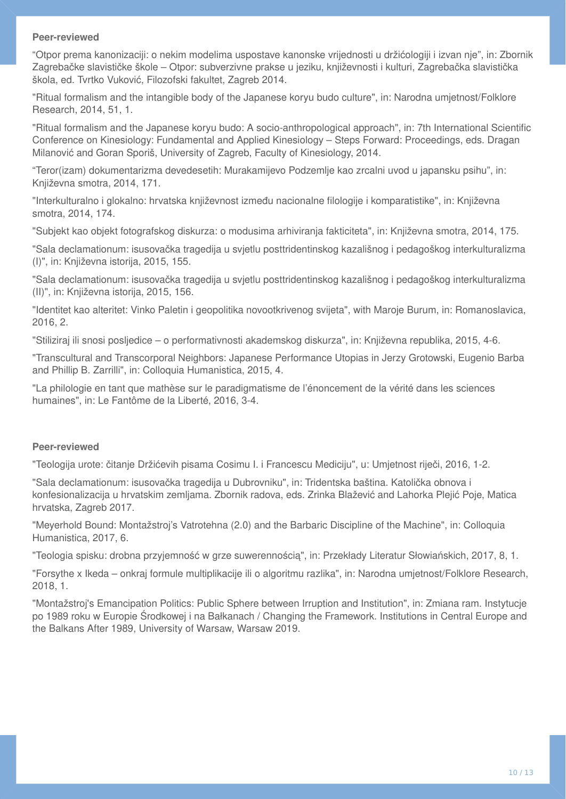"Otpor prema kanonizaciji: o nekim modelima uspostave kanonske vrijednosti u držićologiji i izvan nje", in: Zbornik Zagrebačke slavističke škole – Otpor: subverzivne prakse u jeziku, književnosti i kulturi, Zagrebačka slavistička škola, ed. Tvrtko Vuković, Filozofski fakultet, Zagreb 2014.

"Ritual formalism and the intangible body of the Japanese koryu budo culture", in: Narodna umjetnost/Folklore Research, 2014, 51, 1.

"Ritual formalism and the Japanese koryu budo: A socio-anthropological approach", in: 7th International Scientific Conference on Kinesiology: Fundamental and Applied Kinesiology – Steps Forward: Proceedings, eds. Dragan Milanović and Goran Sporiš, University of Zagreb, Faculty of Kinesiology, 2014.

"Teror(izam) dokumentarizma devedesetih: Murakamijevo Podzemlje kao zrcalni uvod u japansku psihu", in: Književna smotra, 2014, 171.

"Interkulturalno i glokalno: hrvatska književnost između nacionalne filologije i komparatistike", in: Književna smotra, 2014, 174.

"Subjekt kao objekt fotografskog diskurza: o modusima arhiviranja fakticiteta", in: Književna smotra, 2014, 175.

"Sala declamationum: isusovačka tragedija u svjetlu posttridentinskog kazališnog i pedagoškog interkulturalizma (I)", in: Književna istorija, 2015, 155.

"Sala declamationum: isusovačka tragedija u svjetlu posttridentinskog kazališnog i pedagoškog interkulturalizma (II)", in: Književna istorija, 2015, 156.

"Identitet kao alteritet: Vinko Paletin i geopolitika novootkrivenog svijeta", with Maroje Burum, in: Romanoslavica, 2016, 2.

"Stiliziraj ili snosi posljedice – o performativnosti akademskog diskurza", in: Književna republika, 2015, 4-6.

"Transcultural and Transcorporal Neighbors: Japanese Performance Utopias in Jerzy Grotowski, Eugenio Barba and Phillip B. Zarrilli", in: Colloquia Humanistica, 2015, 4.

"La philologie en tant que mathèse sur le paradigmatisme de l'énoncement de la vérité dans les sciences humaines", in: Le Fantôme de la Liberté, 2016, 3-4.

#### **Peer-reviewed**

"Teologija urote: čitanje Držićevih pisama Cosimu I. i Francescu Mediciju", u: Umjetnost riječi, 2016, 1-2.

"Sala declamationum: isusovačka tragedija u Dubrovniku", in: Tridentska baština. Katolička obnova i konfesionalizacija u hrvatskim zemljama. Zbornik radova, eds. Zrinka Blažević and Lahorka Plejić Poje, Matica hrvatska, Zagreb 2017.

"Meyerhold Bound: Montažstroj's Vatrotehna (2.0) and the Barbaric Discipline of the Machine", in: Colloquia Humanistica, 2017, 6.

"Teologia spisku: drobna przyjemność w grze suwerennością", in: Przekłady Literatur Słowiańskich, 2017, 8, 1.

"Forsythe x Ikeda – onkraj formule multiplikacije ili o algoritmu razlika", in: Narodna umjetnost/Folklore Research, 2018, 1.

"Montažstroj's Emancipation Politics: Public Sphere between Irruption and Institution", in: Zmiana ram. Instytucje po 1989 roku w Europie Środkowej i na Bałkanach / Changing the Framework. Institutions in Central Europe and the Balkans After 1989, University of Warsaw, Warsaw 2019.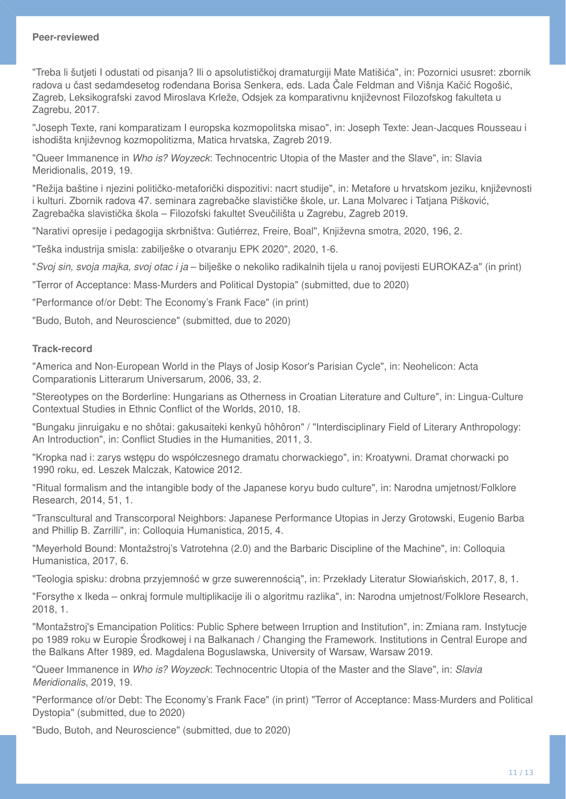"Treba li šutjeti I odustati od pisanja? Ili o apsolutističkoj dramaturgiji Mate Matišića", in: Pozornici ususret: zbornik radova u čast sedamdesetog rođendana Borisa Senkera, eds. Lada Čale Feldman and Višnja Kačić Rogošić, Zagreb, Leksikografski zavod Miroslava Krleže, Odsjek za komparativnu književnost Filozofskog fakulteta u Zagrebu, 2017.

"Joseph Texte, rani komparatizam I europska kozmopolitska misao", in: Joseph Texte: Jean-Jacques Rousseau i ishodišta književnog kozmopolitizma, Matica hrvatska, Zagreb 2019.

"Queer Immanence in *Who is? Woyzeck*: Technocentric Utopia of the Master and the Slave", in: Slavia Meridionalis, 2019, 19.

"Režija baštine i njezini političko-metaforički dispozitivi: nacrt studije", in: Metafore u hrvatskom jeziku, književnosti i kulturi. Zbornik radova 47. seminara zagrebačke slavističke škole, ur. Lana Molvarec i Tatjana Pišković, Zagrebačka slavistička škola – Filozofski fakultet Sveučilišta u Zagrebu, Zagreb 2019.

"Narativi opresije i pedagogija skrbništva: Gutiérrez, Freire, Boal", Književna smotra, 2020, 196, 2.

"Teška industrija smisla: zabilješke o otvaranju EPK 2020", 2020, 1-6.

"*Svoj sin, svoja majka, svoj otac i ja* – bilješke o nekoliko radikalnih tijela u ranoj povijesti EUROKAZ-a" (in print)

"Terror of Acceptance: Mass-Murders and Political Dystopia" (submitted, due to 2020)

"Performance of/or Debt: The Economy's Frank Face" (in print)

"Budo, Butoh, and Neuroscience" (submitted, due to 2020)

#### **Track-record**

"America and Non-European World in the Plays of Josip Kosor's Parisian Cycle", in: Neohelicon: Acta Comparationis Litterarum Universarum, 2006, 33, 2.

"Stereotypes on the Borderline: Hungarians as Otherness in Croatian Literature and Culture", in: Lingua-Culture Contextual Studies in Ethnic Conflict of the Worlds, 2010, 18.

"Bungaku jinruigaku e no shôtai: gakusaiteki kenkyû hôhôron" / "Interdisciplinary Field of Literary Anthropology: An Introduction", in: Conflict Studies in the Humanities, 2011, 3.

"Kropka nad i: zarys wstępu do współczesnego dramatu chorwackiego", in: Kroatywni. Dramat chorwacki po 1990 roku, ed. Leszek Malczak, Katowice 2012.

"Ritual formalism and the intangible body of the Japanese koryu budo culture", in: Narodna umjetnost/Folklore Research, 2014, 51, 1.

"Transcultural and Transcorporal Neighbors: Japanese Performance Utopias in Jerzy Grotowski, Eugenio Barba and Phillip B. Zarrilli", in: Colloquia Humanistica, 2015, 4.

"Meyerhold Bound: Montažstroj's Vatrotehna (2.0) and the Barbaric Discipline of the Machine", in: Colloquia Humanistica, 2017, 6.

"Teologia spisku: drobna przyjemność w grze suwerennością", in: Przekłady Literatur Słowiańskich, 2017, 8, 1.

"Forsythe x Ikeda – onkraj formule multiplikacije ili o algoritmu razlika", in: Narodna umjetnost/Folklore Research, 2018, 1.

"Montažstroj's Emancipation Politics: Public Sphere between Irruption and Institution", in: Zmiana ram. Instytucje po 1989 roku w Europie Środkowej i na Bałkanach / Changing the Framework. Institutions in Central Europe and the Balkans After 1989, ed. Magdalena Boguslawska, University of Warsaw, Warsaw 2019.

"Queer Immanence in *Who is? Woyzeck*: Technocentric Utopia of the Master and the Slave", in: *Slavia Meridionalis*, 2019, 19.

"Performance of/or Debt: The Economy's Frank Face" (in print) "Terror of Acceptance: Mass-Murders and Political Dystopia" (submitted, due to 2020)

"Budo, Butoh, and Neuroscience" (submitted, due to 2020)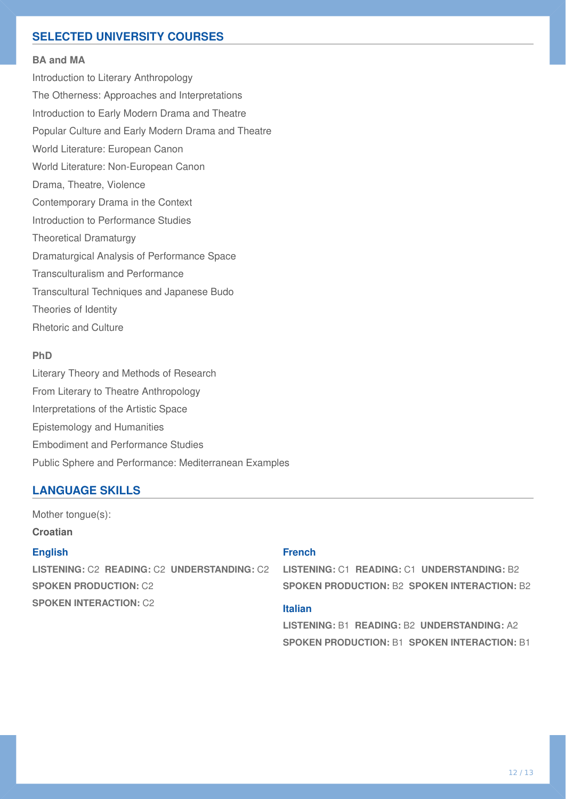## **SELECTED UNIVERSITY COURSES**

#### **BA and MA**

Introduction to Literary Anthropology The Otherness: Approaches and Interpretations Introduction to Early Modern Drama and Theatre Popular Culture and Early Modern Drama and Theatre World Literature: European Canon World Literature: Non-European Canon Drama, Theatre, Violence Contemporary Drama in the Context Introduction to Performance Studies Theoretical Dramaturgy Dramaturgical Analysis of Performance Space Transculturalism and Performance Transcultural Techniques and Japanese Budo Theories of Identity Rhetoric and Culture

#### **PhD**

Literary Theory and Methods of Research From Literary to Theatre Anthropology Interpretations of the Artistic Space Epistemology and Humanities Embodiment and Performance Studies Public Sphere and Performance: Mediterranean Examples

### **LANGUAGE SKILLS**

Mother tongue(s): **Croatian**

#### **English**

**LISTENING:** C2 **READING:** C2 **UNDERSTANDING:** C2 **SPOKEN PRODUCTION:** C2 **SPOKEN INTERACTION:** C2

## **French**

**LISTENING:** C1 **READING:** C1 **UNDERSTANDING:** B2 **SPOKEN PRODUCTION:** B2 **SPOKEN INTERACTION:** B2

### **Italian**

**LISTENING:** B1 **READING:** B2 **UNDERSTANDING:** A2 **SPOKEN PRODUCTION:** B1 **SPOKEN INTERACTION:** B1